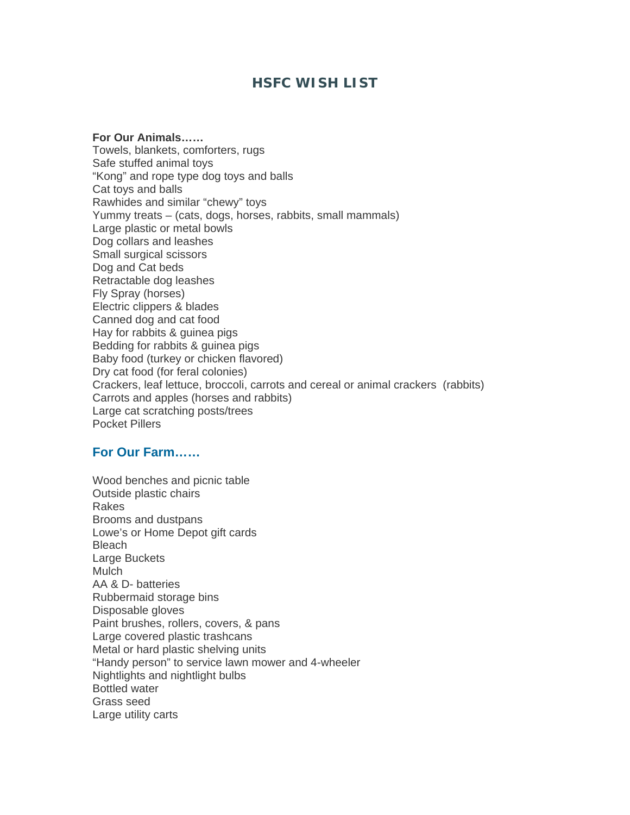# **HSFC WISH LIST**

**For Our Animals……** Towels, blankets, comforters, rugs Safe stuffed animal toys "Kong" and rope type dog toys and balls Cat toys and balls Rawhides and similar "chewy" toys Yummy treats – (cats, dogs, horses, rabbits, small mammals) Large plastic or metal bowls Dog collars and leashes Small surgical scissors Dog and Cat beds Retractable dog leashes Fly Spray (horses) Electric clippers & blades Canned dog and cat food Hay for rabbits & guinea pigs Bedding for rabbits & guinea pigs Baby food (turkey or chicken flavored) Dry cat food (for feral colonies) Crackers, leaf lettuce, broccoli, carrots and cereal or animal crackers (rabbits) Carrots and apples (horses and rabbits) Large cat scratching posts/trees Pocket Pillers

## **For Our Farm……**

Wood benches and picnic table Outside plastic chairs Rakes Brooms and dustpans Lowe's or Home Depot gift cards Bleach Large Buckets **Mulch** AA & D- batteries Rubbermaid storage bins Disposable gloves Paint brushes, rollers, covers, & pans Large covered plastic trashcans Metal or hard plastic shelving units "Handy person" to service lawn mower and 4-wheeler Nightlights and nightlight bulbs Bottled water Grass seed Large utility carts